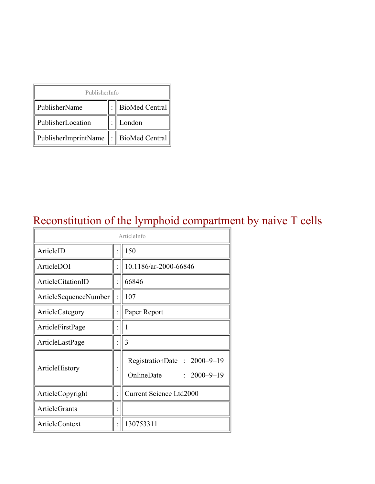| PublisherInfo                         |  |                    |  |  |
|---------------------------------------|--|--------------------|--|--|
| PublisherName                         |  | :   BioMed Central |  |  |
| PublisherLocation                     |  | London             |  |  |
| PublisherImprintName : BioMed Central |  |                    |  |  |

### Reconstitution of the lymphoid compartment by naive T cells

| ArticleInfo           |  |                                                                |  |
|-----------------------|--|----------------------------------------------------------------|--|
| ArticleID             |  | 150                                                            |  |
| ArticleDOI            |  | 10.1186/ar-2000-66846                                          |  |
| ArticleCitationID     |  | 66846                                                          |  |
| ArticleSequenceNumber |  | 107                                                            |  |
| ArticleCategory       |  | Paper Report                                                   |  |
| ArticleFirstPage      |  | 1                                                              |  |
| ArticleLastPage       |  | 3                                                              |  |
| ArticleHistory        |  | RegistrationDate: 2000-9-19<br>OnlineDate<br>$: 2000 - 9 - 19$ |  |
| ArticleCopyright      |  | <b>Current Science Ltd2000</b>                                 |  |
| <b>ArticleGrants</b>  |  |                                                                |  |
| <b>ArticleContext</b> |  | 130753311                                                      |  |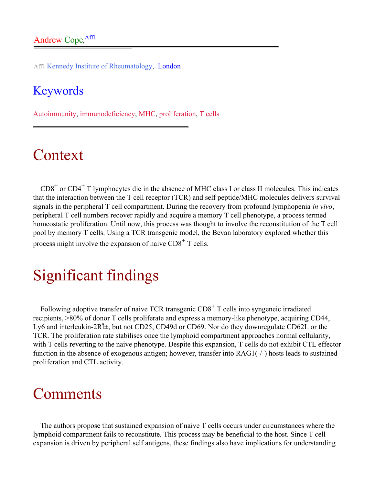Aff1 Kennedy Institute of Rheumatology, London

#### Keywords

Autoimmunity, immunodeficiency, MHC, proliferation, T cells

## Context

 $CD8<sup>+</sup>$  or  $CD4<sup>+</sup>$  T lymphocytes die in the absence of MHC class I or class II molecules. This indicates that the interaction between the T cell receptor (TCR) and self peptide/MHC molecules delivers survival signals in the peripheral T cell compartment. During the recovery from profound lymphopenia *in vivo*, peripheral T cell numbers recover rapidly and acquire a memory T cell phenotype, a process termed homeostatic proliferation. Until now, this process was thought to involve the reconstitution of the T cell pool by memory T cells. Using a TCR transgenic model, the Bevan laboratory explored whether this process might involve the expansion of naive  $CDS<sup>+</sup>$  T cells.

## Significant findings

Following adoptive transfer of naive TCR transgenic  $CDS<sup>+</sup>$  T cells into syngeneic irradiated recipients, >80% of donor T cells proliferate and express a memory-like phenotype, acquiring CD44, Ly6 and interleukin-2 $R\hat{I}$ ±, but not CD25, CD49d or CD69. Nor do they downregulate CD62L or the TCR. The proliferation rate stabilises once the lymphoid compartment approaches normal cellularity, with T cells reverting to the naive phenotype. Despite this expansion, T cells do not exhibit CTL effector function in the absence of exogenous antigen; however, transfer into RAG1(-/-) hosts leads to sustained proliferation and CTL activity.

#### **Comments**

The authors propose that sustained expansion of naive T cells occurs under circumstances where the lymphoid compartment fails to reconstitute. This process may be beneficial to the host. Since T cell expansion is driven by peripheral self antigens, these findings also have implications for understanding